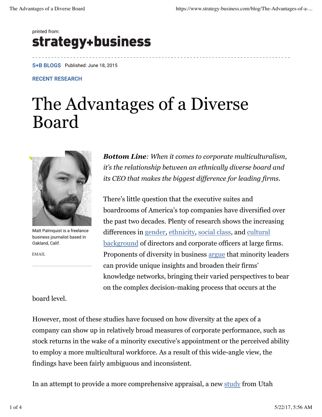## printed from: strategy+business

**S+B BLOGS** Published: June 18, 2015

**RECENT RESEARCH**

## The Advantages of a Diverse Board



Matt Palmquist is a freelance business journalist based in Oakland, Calif.

EMAIL

## board level.

*Bottom Line: When it comes to corporate multiculturalism, it's the relationship between an ethnically diverse board and its CEO that makes the biggest difference for leading firms.*

There's little question that the executive suites and boardrooms of America's top companies have diversified over the past two decades. Plenty of research shows the increasing differences in gender, ethnicity, social class, and cultural background of directors and corporate officers at large firms. Proponents of diversity in business argue that minority leaders can provide unique insights and broaden their firms' knowledge networks, bringing their varied perspectives to bear on the complex decision-making process that occurs at the

However, most of these studies have focused on how diversity at the apex of a company can show up in relatively broad measures of corporate performance, such as stock returns in the wake of a minority executive's appointment or the perceived ability to employ a more multicultural workforce. As a result of this wide-angle view, the findings have been fairly ambiguous and inconsistent.

In an attempt to provide a more comprehensive appraisal, a new study from Utah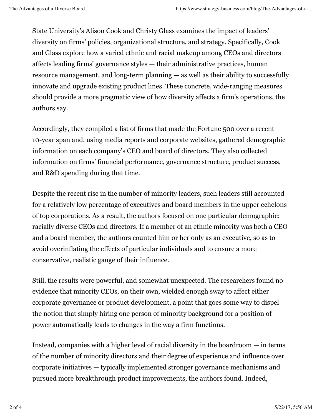State University's Alison Cook and Christy Glass examines the impact of leaders' diversity on firms' policies, organizational structure, and strategy. Specifically, Cook and Glass explore how a varied ethnic and racial makeup among CEOs and directors affects leading firms' governance styles — their administrative practices, human resource management, and long-term planning — as well as their ability to successfully innovate and upgrade existing product lines. These concrete, wide-ranging measures should provide a more pragmatic view of how diversity affects a firm's operations, the authors say.

Accordingly, they compiled a list of firms that made the Fortune 500 over a recent 10-year span and, using media reports and corporate websites, gathered demographic information on each company's CEO and board of directors. They also collected information on firms' financial performance, governance structure, product success, and R&D spending during that time.

Despite the recent rise in the number of minority leaders, such leaders still accounted for a relatively low percentage of executives and board members in the upper echelons of top corporations. As a result, the authors focused on one particular demographic: racially diverse CEOs and directors. If a member of an ethnic minority was both a CEO and a board member, the authors counted him or her only as an executive, so as to avoid overinflating the effects of particular individuals and to ensure a more conservative, realistic gauge of their influence.

Still, the results were powerful, and somewhat unexpected. The researchers found no evidence that minority CEOs, on their own, wielded enough sway to affect either corporate governance or product development, a point that goes some way to dispel the notion that simply hiring one person of minority background for a position of power automatically leads to changes in the way a firm functions.

Instead, companies with a higher level of racial diversity in the boardroom — in terms of the number of minority directors and their degree of experience and influence over corporate initiatives — typically implemented stronger governance mechanisms and pursued more breakthrough product improvements, the authors found. Indeed,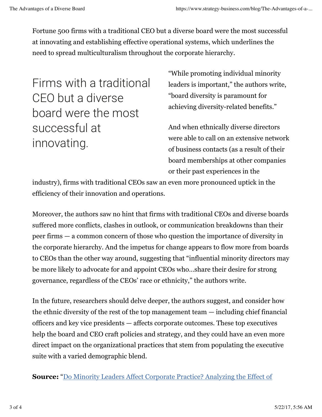Fortune 500 firms with a traditional CEO but a diverse board were the most successful at innovating and establishing effective operational systems, which underlines the need to spread multiculturalism throughout the corporate hierarchy.

Firms with a traditional CEO but a diverse board were the most successful at innovating.

"While promoting individual minority leaders is important," the authors write, "board diversity is paramount for achieving diversity-related benefits."

And when ethnically diverse directors were able to call on an extensive network of business contacts (as a result of their board memberships at other companies or their past experiences in the

industry), firms with traditional CEOs saw an even more pronounced uptick in the efficiency of their innovation and operations.

Moreover, the authors saw no hint that firms with traditional CEOs and diverse boards suffered more conflicts, clashes in outlook, or communication breakdowns than their peer firms — a common concern of those who question the importance of diversity in the corporate hierarchy. And the impetus for change appears to flow more from boards to CEOs than the other way around, suggesting that "influential minority directors may be more likely to advocate for and appoint CEOs who…share their desire for strong governance, regardless of the CEOs' race or ethnicity," the authors write.

In the future, researchers should delve deeper, the authors suggest, and consider how the ethnic diversity of the rest of the top management team — including chief financial officers and key vice presidents — affects corporate outcomes. These top executives help the board and CEO craft policies and strategy, and they could have an even more direct impact on the organizational practices that stem from populating the executive suite with a varied demographic blend.

**Source:** "Do Minority Leaders Affect Corporate Practice? Analyzing the Effect of